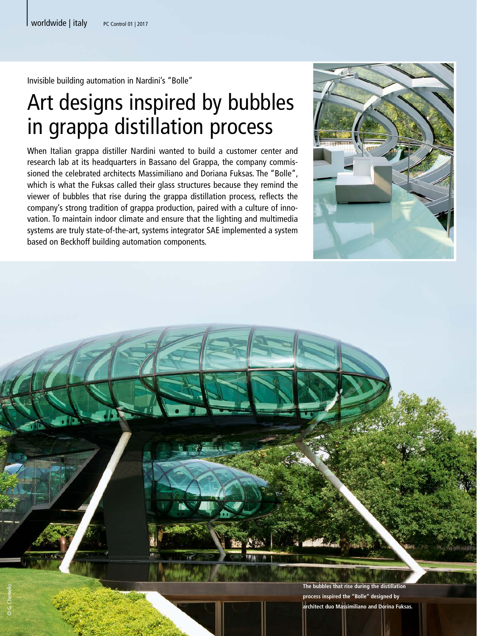Invisible building automation in Nardini's "Bolle"

## Art designs inspired by bubbles in grappa distillation process

When Italian grappa distiller Nardini wanted to build a customer center and research lab at its headquarters in Bassano del Grappa, the company commissioned the celebrated architects Massimiliano and Doriana Fuksas. The "Bolle", which is what the Fuksas called their glass structures because they remind the viewer of bubbles that rise during the grappa distillation process, reflects the company's strong tradition of grappa production, paired with a culture of innovation. To maintain indoor climate and ensure that the lighting and multimedia systems are truly state-of-the-art, systems integrator SAE implemented a system based on Beckhoff building automation components.